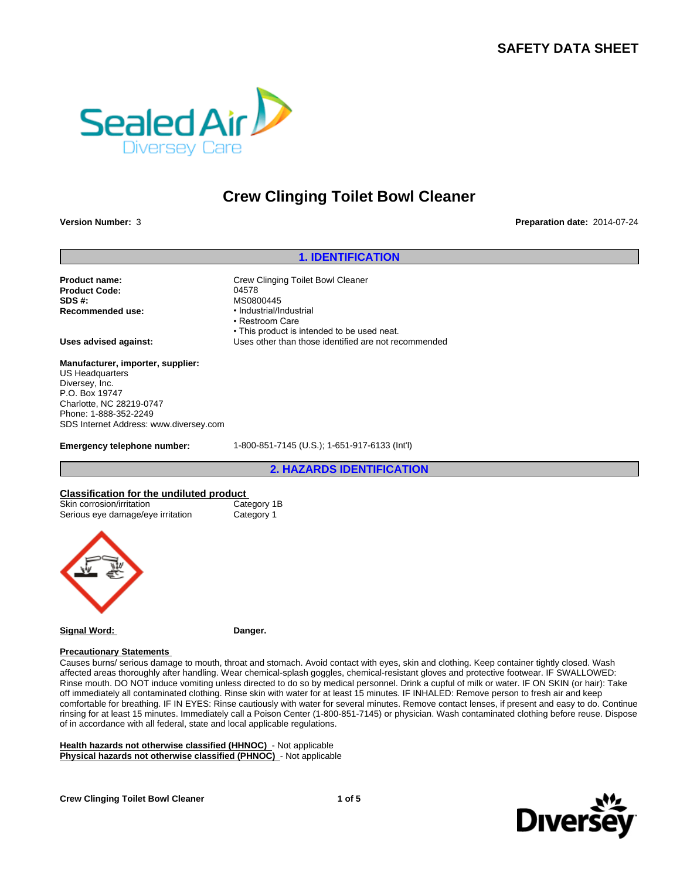# **SAFETY DATA SHEET**



# **Crew Clinging Toilet Bowl Cleaner**

**Version Number:** 3 **Preparation date:** 2014-07-24

# **1. IDENTIFICATION**

Product Code: 04578 **SDS #:** MS0800445 **Recommended use:** 

**Product name:** Crew Clinging Toilet Bowl Cleaner • Restroom Care • This product is intended to be used neat. **Uses advised against:** Uses other than those identified are not recommended

**Manufacturer, importer, supplier:** US Headquarters Diversey, Inc. P.O. Box 19747 Charlotte, NC 28219-0747 Phone: 1-888-352-2249 SDS Internet Address: www.diversey.com

**Emergency telephone number:** 1-800-851-7145 (U.S.); 1-651-917-6133 (Int'l)

**2. HAZARDS IDENTIFICATION**

# **Classification for the undiluted product**<br>
Skin corrosion/irritation<br>
18<br>
18<br>
Category 18

| Skin corrosion/irritation<br>Serious eye damage/eye irritation | Category 1B<br>Category 1 |  |
|----------------------------------------------------------------|---------------------------|--|
|                                                                |                           |  |

**Signal Word: Danger.**

#### **Precautionary Statements**

Causes burns/ serious damage to mouth, throat and stomach. Avoid contact with eyes, skin and clothing. Keep container tightly closed. Wash affected areas thoroughly after handling. Wear chemical-splash goggles, chemical-resistant gloves and protective footwear. IF SWALLOWED: Rinse mouth. DO NOT induce vomiting unless directed to do so by medical personnel. Drink a cupful of milk or water. IF ON SKIN (or hair): Take off immediately all contaminated clothing. Rinse skin with water for at least 15 minutes. IF INHALED: Remove person to fresh air and keep comfortable for breathing. IF IN EYES: Rinse cautiously with water for several minutes. Remove contact lenses, if present and easy to do. Continue rinsing for at least 15 minutes. Immediately call a Poison Center (1-800-851-7145) or physician. Wash contaminated clothing before reuse. Dispose of in accordance with all federal, state and local applicable regulations.

**Health hazards not otherwise classified (HHNOC)** - Not applicable **Physical hazards not otherwise classified (PHNOC)** - Not applicable

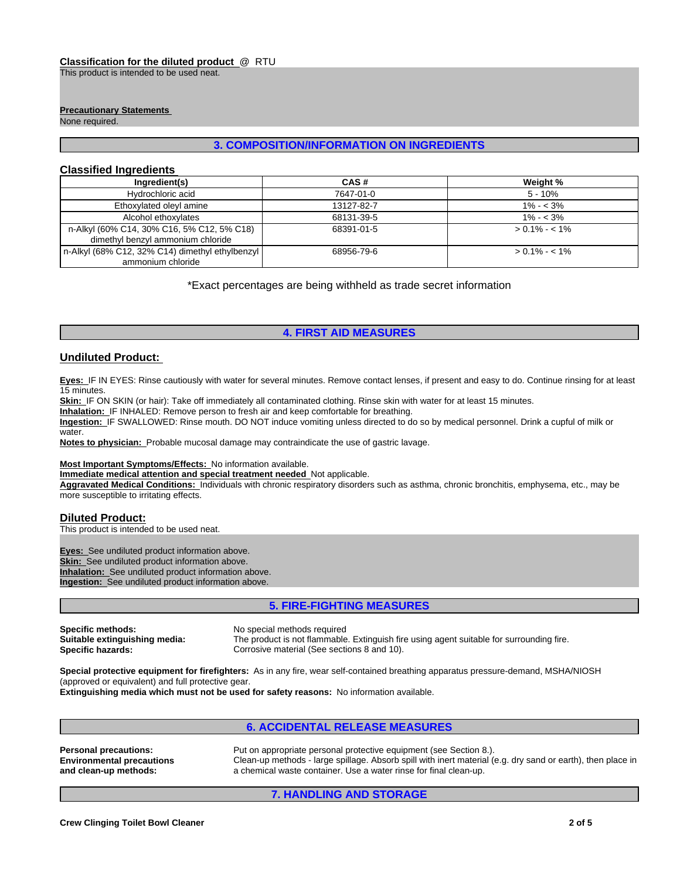This product is intended to be used neat.

#### **Precautionary Statements**

None required.

# **3. COMPOSITION/INFORMATION ON INGREDIENTS**

### **Classified Ingredients**

| Ingredient(s)                                                                   | CAS#       | Weight %        |
|---------------------------------------------------------------------------------|------------|-----------------|
| Hydrochloric acid                                                               | 7647-01-0  | $5 - 10%$       |
| Ethoxylated oleyl amine                                                         | 13127-82-7 | $1\% - 3\%$     |
| Alcohol ethoxylates                                                             | 68131-39-5 | $1\% - 3\%$     |
| n-Alkyl (60% C14, 30% C16, 5% C12, 5% C18)<br>dimethyl benzyl ammonium chloride | 68391-01-5 | $> 0.1\% - 1\%$ |
| n-Alkyl (68% C12, 32% C14) dimethyl ethylbenzyl<br>ammonium chloride            | 68956-79-6 | $> 0.1\% - 1\%$ |

\*Exact percentages are being withheld as trade secret information

# **4. FIRST AID MEASURES**

### **Undiluted Product:**

**Eyes:** IF IN EYES: Rinse cautiously with water for several minutes. Remove contact lenses, if present and easy to do. Continue rinsing for at least 15 minutes.

Skin: IF ON SKIN (or hair): Take off immediately all contaminated clothing. Rinse skin with water for at least 15 minutes.

**Inhalation:** IF INHALED: Remove person to fresh air and keep comfortable for breathing.

**Ingestion:** IF SWALLOWED: Rinse mouth. DO NOT induce vomiting unless directed to do so by medical personnel. Drink a cupful of milk or water.

**Notes to physician:** Probable mucosal damage may contraindicate the use of gastric lavage.

#### **Most Important Symptoms/Effects:** No information available.

**Immediate medical attention and special treatment needed** Not applicable.

**Aggravated Medical Conditions:** Individuals with chronic respiratory disorders such as asthma, chronic bronchitis, emphysema, etc., may be more susceptible to irritating effects.

#### **Diluted Product:**

This product is intended to be used neat.

**Eyes:** See undiluted product information above. **Skin:** See undiluted product information above. **Inhalation:** See undiluted product information above. **Ingestion:** See undiluted product information above.

# **5. FIRE-FIGHTING MEASURES**

**Specific methods:** No special methods required<br> **Suitable extinguishing media:** The product is not flammable

The product is not flammable. Extinguish fire using agent suitable for surrounding fire. **Specific hazards:** Corrosive material (See sections 8 and 10).

**Special protective equipment for firefighters:** As in any fire, wear self-contained breathing apparatus pressure-demand, MSHA/NIOSH (approved or equivalent) and full protective gear.

**Extinguishing media which must not be used for safety reasons:** No information available.

# **6. ACCIDENTAL RELEASE MEASURES**

**Personal precautions:** Put on appropriate personal protective equipment (see Section 8.). **Environmental precautions and clean-up methods:** Clean-up methods - large spillage. Absorb spill with inert material (e.g. dry sand or earth), then place in a chemical waste container. Use a water rinse for final clean-up.

# **7. HANDLING AND STORAGE**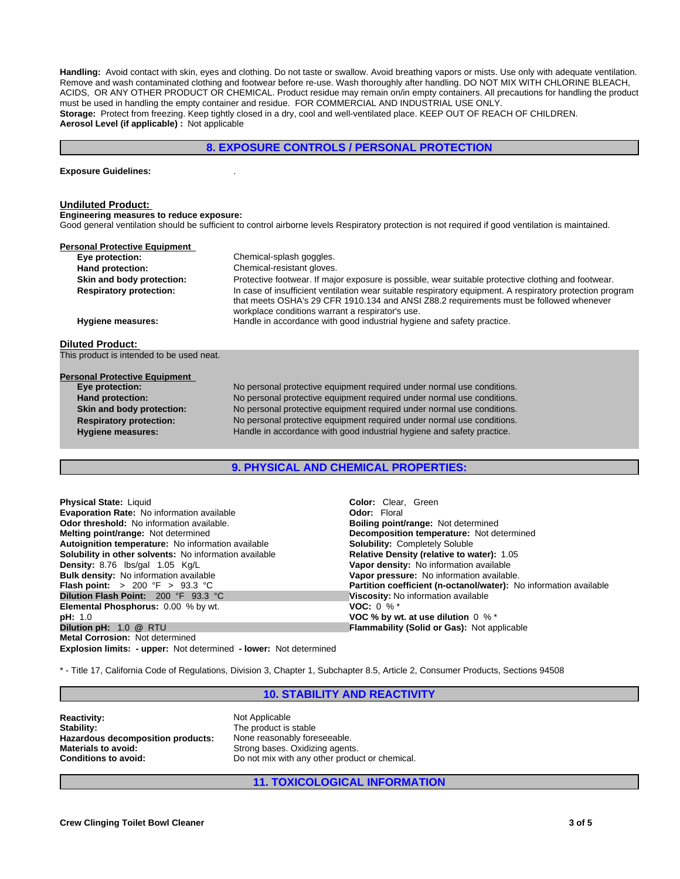**Handling:** Avoid contact with skin, eyes and clothing. Do not taste or swallow. Avoid breathing vapors or mists. Use only with adequate ventilation. Remove and wash contaminated clothing and footwear before re-use. Wash thoroughly after handling. DO NOT MIX WITH CHLORINE BLEACH, ACIDS, OR ANY OTHER PRODUCT OR CHEMICAL. Product residue may remain on/in empty containers. All precautions for handling the product must be used in handling the empty container and residue. FOR COMMERCIAL AND INDUSTRIAL USE ONLY. **Storage:** Protect from freezing. Keep tightly closed in a dry, cool and well-ventilated place. KEEP OUT OF REACH OF CHILDREN. **Aerosol Level (if applicable) :** Not applicable

# **8. EXPOSURE CONTROLS / PERSONAL PROTECTION**

#### **Exposure Guidelines:** .

#### **Undiluted Product:**

**Engineering measures to reduce exposure:**

Good general ventilation should be sufficient to control airborne levels Respiratory protection is not required if good ventilation is maintained.

| <b>Personal Protective Equipment</b>      |                                                                                                                                                                                                                                                          |  |
|-------------------------------------------|----------------------------------------------------------------------------------------------------------------------------------------------------------------------------------------------------------------------------------------------------------|--|
| Eye protection:                           | Chemical-splash goggles.                                                                                                                                                                                                                                 |  |
| Hand protection:                          | Chemical-resistant gloves.                                                                                                                                                                                                                               |  |
| Skin and body protection:                 | Protective footwear. If major exposure is possible, wear suitable protective clothing and footwear.                                                                                                                                                      |  |
| <b>Respiratory protection:</b>            | In case of insufficient ventilation wear suitable respiratory equipment. A respiratory protection program<br>that meets OSHA's 29 CFR 1910.134 and ANSI Z88.2 requirements must be followed whenever<br>workplace conditions warrant a respirator's use. |  |
| Hygiene measures:                         | Handle in accordance with good industrial hygiene and safety practice.                                                                                                                                                                                   |  |
| <b>Diluted Product:</b>                   |                                                                                                                                                                                                                                                          |  |
| This product is intended to be used neat. |                                                                                                                                                                                                                                                          |  |
| <b>Personal Protective Equipment</b>      |                                                                                                                                                                                                                                                          |  |
| Eye protection:                           | No personal protective equipment required under normal use conditions.                                                                                                                                                                                   |  |
|                                           |                                                                                                                                                                                                                                                          |  |
| Hand protection:                          | No personal protective equipment required under normal use conditions.                                                                                                                                                                                   |  |
| Skin and body protection:                 | No personal protective equipment required under normal use conditions.                                                                                                                                                                                   |  |

**9. PHYSICAL AND CHEMICAL PROPERTIES:**

**Respiratory protection:** No personal protective equipment required under normal use conditions. **Hygiene measures:** Handle in accordance with good industrial hygiene and safety practice.

| <b>Physical State: Liquid</b>                                            | <b>Color:</b> Clear. Green                                               |
|--------------------------------------------------------------------------|--------------------------------------------------------------------------|
| <b>Evaporation Rate:</b> No information available                        | <b>Odor: Floral</b>                                                      |
| <b>Odor threshold:</b> No information available.                         | <b>Boiling point/range: Not determined</b>                               |
| <b>Melting point/range: Not determined</b>                               | Decomposition temperature: Not determined                                |
| Autoignition temperature: No information available                       | <b>Solubility: Completely Soluble</b>                                    |
| Solubility in other solvents: No information available                   | Relative Density (relative to water): 1.05                               |
| Density: 8.76 lbs/gal 1.05 Kg/L                                          | Vapor density: No information available                                  |
| <b>Bulk density:</b> No information available                            | Vapor pressure: No information available.                                |
| <b>Flash point:</b> $> 200 \, \text{°F} > 93.3 \, \text{°C}$             | <b>Partition coefficient (n-octanol/water):</b> No information available |
| <b>Dilution Flash Point: 200 °F 93.3 °C</b>                              | Viscosity: No information available                                      |
| <b>Elemental Phosphorus:</b> 0.00 % by wt.                               | <b>VOC:</b> 0 % $*$                                                      |
| pH: 1.0                                                                  | VOC % by wt. at use dilution $0\%$ *                                     |
| Dilution pH: 1.0 @ RTU                                                   | <b>Flammability (Solid or Gas): Not applicable</b>                       |
| <b>Metal Corrosion: Not determined</b>                                   |                                                                          |
| <b>Explosion limits: - upper:</b> Not determined - lower: Not determined |                                                                          |

\* - Title 17, California Code of Regulations, Division 3, Chapter 1, Subchapter 8.5, Article 2, Consumer Products, Sections 94508

### **10. STABILITY AND REACTIVITY**

**Reactivity:** Not Applicable Stability: Not Applicable Stability: **Hazardous decomposition products:**<br>Materials to avoid:

The product is stable<br>None reasonably foreseeable. Strong bases. Oxidizing agents. **Conditions to avoid:** Do not mix with any other product or chemical.

**11. TOXICOLOGICAL INFORMATION**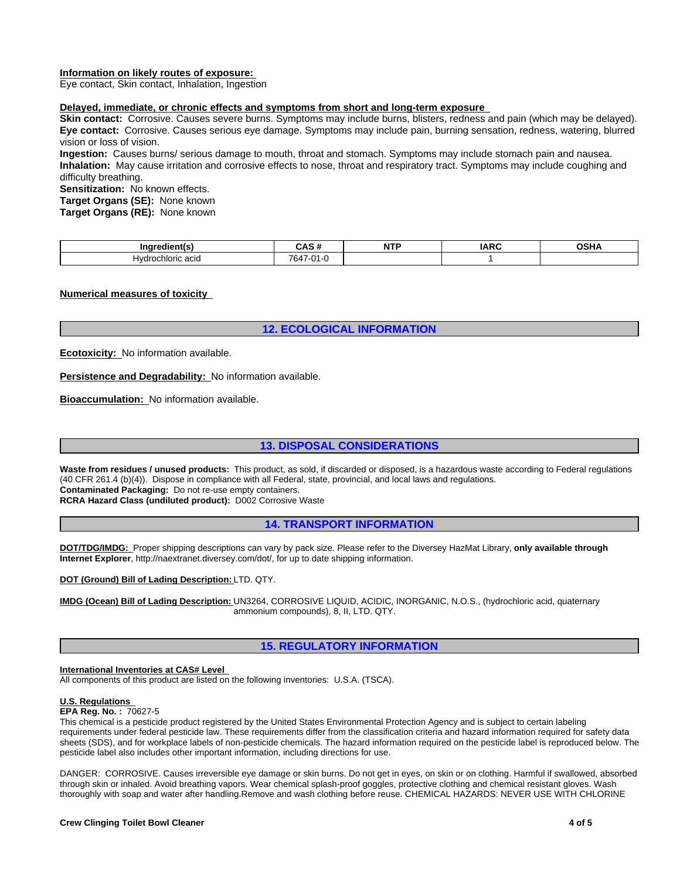### **Information on likely routes of exposure:**

Eye contact, Skin contact, Inhalation, Ingestion

#### **Delayed, immediate, or chronic effects and symptoms from short and long-term exposure**

**Skin contact:** Corrosive. Causes severe burns. Symptoms may include burns, blisters, redness and pain (which may be delayed). **Eye contact:** Corrosive. Causes serious eye damage. Symptoms may include pain, burning sensation, redness, watering, blurred vision or loss of vision.

**Ingestion:** Causes burns/ serious damage to mouth, throat and stomach. Symptoms may include stomach pain and nausea. **Inhalation:** May cause irritation and corrosive effects to nose, throat and respiratory tract. Symptoms may include coughing and difficulty breathing.

**Sensitization:** No known effects.

**Target Organs (SE):** None known

**Target Organs (RE):** None known

| Inc<br>`dien.                      | - -                                   | <b>A REPORT</b><br>ND<br>. | $I\triangle R$ | . שפו<br>. |
|------------------------------------|---------------------------------------|----------------------------|----------------|------------|
| HVU.<br>acid<br>aloric .<br>$   -$ | 7647<br>$\sim$<br>$\mathbf{r}$<br>٠., |                            |                |            |

#### **Numerical measures of toxicity**

# **12. ECOLOGICAL INFORMATION**

**Ecotoxicity:** No information available.

**Persistence and Degradability:** No information available.

**Bioaccumulation:** No information available.

# **13. DISPOSAL CONSIDERATIONS**

Waste from residues / unused products: This product, as sold, if discarded or disposed, is a hazardous waste according to Federal regulations (40 CFR 261.4 (b)(4)). Dispose in compliance with all Federal, state, provincial, and local laws and regulations. **Contaminated Packaging:** Do not re-use empty containers.

**RCRA Hazard Class (undiluted product):** D002 Corrosive Waste

**14. TRANSPORT INFORMATION**

**DOT/TDG/IMDG:** Proper shipping descriptions can vary by pack size. Please refer to the Diversey HazMat Library, **only available through Internet Explorer**, http://naextranet.diversey.com/dot/, for up to date shipping information.

**DOT (Ground) Bill of Lading Description:** LTD. QTY.

**IMDG (Ocean) Bill of Lading Description:** UN3264, CORROSIVE LIQUID, ACIDIC, INORGANIC, N.O.S., (hydrochloric acid, quaternary ammonium compounds), 8, II, LTD. QTY.

# **15. REGULATORY INFORMATION**

#### **International Inventories at CAS# Level**

All components of this product are listed on the following inventories: U.S.A. (TSCA).

#### **U.S. Regulations**

#### **EPA Reg. No. :** 70627-5

This chemical is a pesticide product registered by the United States Environmental Protection Agency and is subject to certain labeling requirements under federal pesticide law. These requirements differ from the classification criteria and hazard information required for safety data sheets (SDS), and for workplace labels of non-pesticide chemicals. The hazard information required on the pesticide label is reproduced below. The pesticide label also includes other important information, including directions for use.

DANGER: CORROSIVE. Causes irreversible eye damage or skin burns. Do not get in eyes, on skin or on clothing. Harmful if swallowed, absorbed through skin or inhaled. Avoid breathing vapors. Wear chemical splash-proof goggles, protective clothing and chemical resistant gloves. Wash thoroughly with soap and water after handling.Remove and wash clothing before reuse. CHEMICAL HAZARDS: NEVER USE WITH CHLORINE